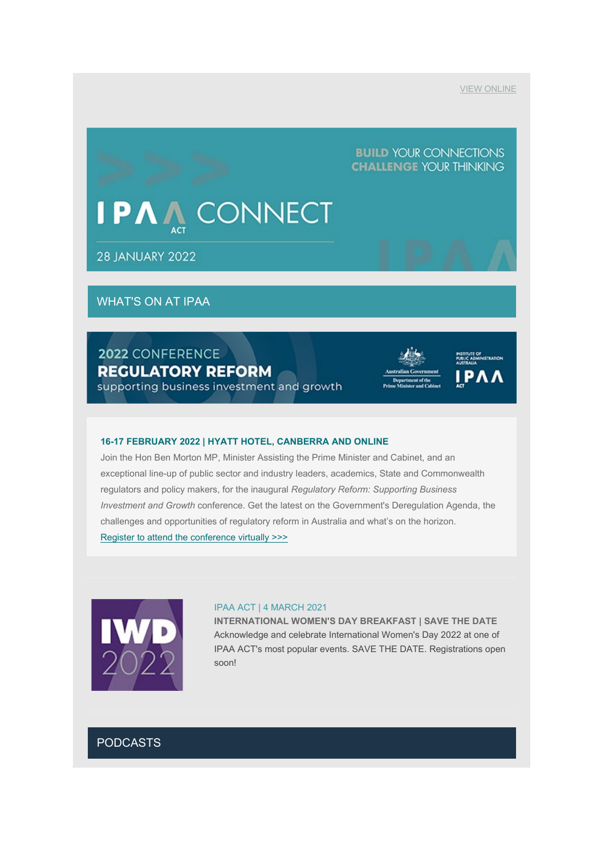## **BUILD YOUR CONNECTIONS CHALLENGE YOUR THINKING**

## **ONNECT P**

**28 JANUARY 2022** 

## WHAT'S ON AT IPAA

## 2022 CONFERENCE **REGULATORY REFORM**

supporting business investment and growth





#### **16-17 FEBRUARY 2022 | HYATT HOTEL, CANBERRA AND ONLINE**

Join the Hon Ben Morton MP, Minister Assisting the Prime Minister and Cabinet, and an exceptional line-up of public sector and industry leaders, academics, State and Commonwealth regulators and policy makers, for the inaugural *Regulatory Reform: Supporting Business Investment and Growth* conference. Get the latest on the Government's Deregulation Agenda, the challenges and opportunities of regulatory reform in Australia and what's on the horizon. [Register to attend the conference virtually](https://www.act.ipaa.org.au/events/2022/regulatory) >>>



#### IPAA ACT | 4 MARCH 2021

**INTERNATIONAL WOMEN'S DAY BREAKFAST | SAVE THE DATE** Acknowledge and celebrate International Women's Day 2022 at one of IPAA ACT's most popular events. SAVE THE DATE. Registrations open soon!

## PODCASTS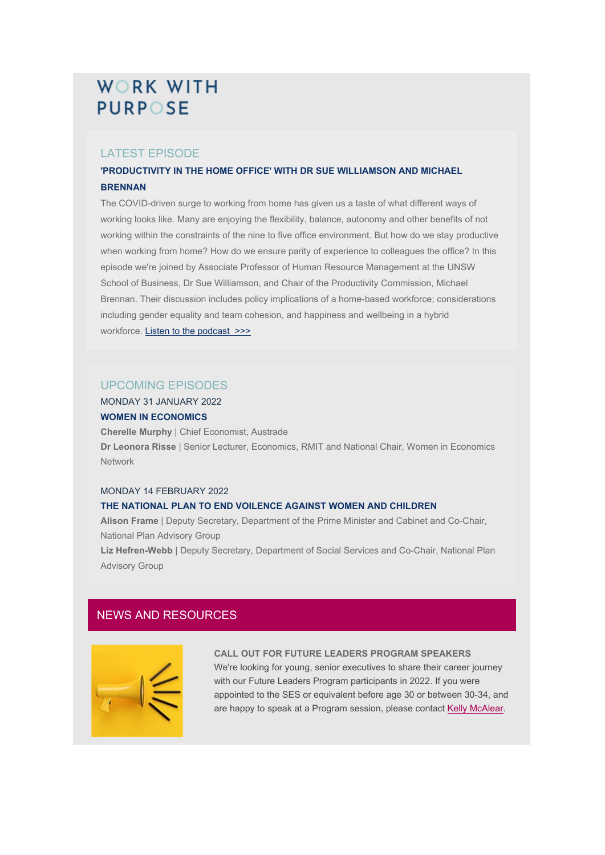## **WORK WITH PURPOSE**

## LATEST EPISODE

### **'PRODUCTIVITY IN THE HOME OFFICE' WITH DR SUE WILLIAMSON AND MICHAEL BRENNAN**

The COVID-driven surge to working from home has given us a taste of what different ways of working looks like. Many are enjoying the flexibility, balance, autonomy and other benefits of not working within the constraints of the nine to five office environment. But how do we stay productive when working from home? How do we ensure parity of experience to colleagues the office? In this episode we're joined by Associate Professor of Human Resource Management at the UNSW School of Business, Dr Sue Williamson, and Chair of the Productivity Commission, Michael Brennan. Their discussion includes policy implications of a home-based workforce; considerations including gender equality and team cohesion, and happiness and wellbeing in a hybrid workforce. [Listen to the podcast](https://www.act.ipaa.org.au/wwp_53) >>>

### UPCOMING EPISODES

#### MONDAY 31 JANUARY 2022 **WOMEN IN ECONOMICS**

**Cherelle Murphy** | Chief Economist, Austrade **Dr Leonora Risse** | Senior Lecturer, Economics, RMIT and National Chair, Women in Economics Network

#### MONDAY 14 FEBRUARY 2022

#### **THE NATIONAL PLAN TO END VOILENCE AGAINST WOMEN AND CHILDREN**

**Alison Frame** | Deputy Secretary, Department of the Prime Minister and Cabinet and Co-Chair, National Plan Advisory Group

**Liz Hefren-Webb** | Deputy Secretary, Department of Social Services and Co-Chair, National Plan Advisory Group

### NEWS AND RESOURCES



#### **CALL OUT FOR FUTURE LEADERS PROGRAM SPEAKERS**

We're looking for young, senior executives to share their career journey with our Future Leaders Program participants in 2022. If you were appointed to the SES or equivalent before age 30 or between 30-34, and are happy to speak at a Program session, please contact [Kelly McAlear.](mailto:Kelly.McAlear@act.ipaa.org.au)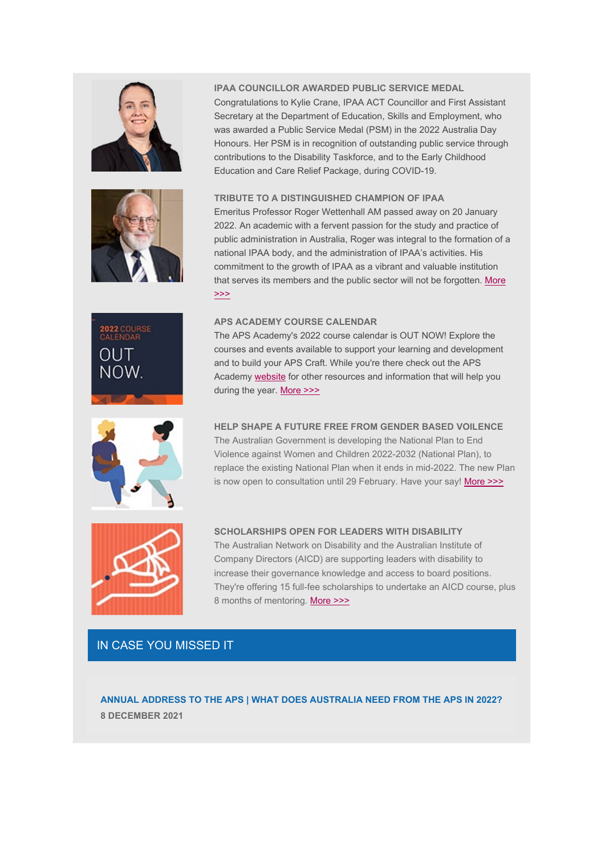







#### **IPAA COUNCILLOR AWARDED PUBLIC SERVICE MEDAL**

Congratulations to Kylie Crane, IPAA ACT Councillor and First Assistant Secretary at the Department of Education, Skills and Employment, who was awarded a Public Service Medal (PSM) in the 2022 Australia Day Honours. Her PSM is in recognition of outstanding public service through contributions to the Disability Taskforce, and to the Early Childhood Education and Care Relief Package, during COVID-19.

#### **TRIBUTE TO A DISTINGUISHED CHAMPION OF IPAA**

Emeritus Professor Roger Wettenhall AM passed away on 20 January 2022. An academic with a fervent passion for the study and practice of public administration in Australia, Roger was integral to the formation of a national IPAA body, and the administration of IPAA's activities. His commitment to the growth of IPAA as a vibrant and valuable institution that serves its members and the public sector will not be forgotten. More [>>>](https://www.ipaa.org.au/roger-wettenhall/)

#### **APS ACADEMY COURSE CALENDAR**

The APS Academy's 2022 course calendar is OUT NOW! Explore the courses and events available to support your learning and development and to build your APS Craft. While you're there check out the APS Academy [website](https://www.apsacademy.gov.au/) for other resources and information that will help you during the year. [More >>>](https://www.apsacademy.gov.au/news-events/news/2022-course-calendar-now-available)

#### **HELP SHAPE A FUTURE FREE FROM GENDER BASED VOILENCE**

The Australian Government is developing the National Plan to End Violence against Women and Children 2022-2032 (National Plan), to replace the existing National Plan when it ends in mid-2022. The new Plan is now open to consultation until 29 February. Have your say! [More >>>](https://engage.dss.gov.au/draft-national-plan-to-end-violence-against-women-and-children-2022-2032/)



#### **SCHOLARSHIPS OPEN FOR LEADERS WITH DISABILITY**

The Australian Network on Disability and the Australian Institute of Company Directors (AICD) are supporting leaders with disability to increase their governance knowledge and access to board positions. They're offering 15 full-fee scholarships to undertake an AICD course, plus 8 months of mentoring. [More >>>](https://aicd.companydirectors.com.au/membership/membership-update/new-scholarship-for-leaders-with-disability)

## IN CASE YOU MISSED IT

**ANNUAL ADDRESS TO THE APS | WHAT DOES AUSTRALIA NEED FROM THE APS IN 2022? 8 DECEMBER 2021**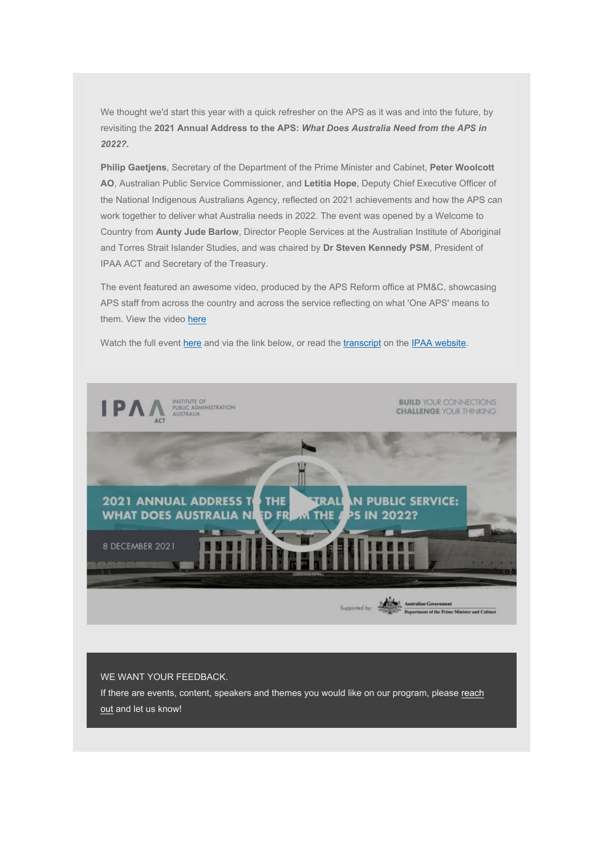We thought we'd start this year with a quick refresher on the APS as it was and into the future, by revisiting the **2021 Annual Address to the APS:** *What Does Australia Need from the APS in 2022?.*

**Philip Gaetjens**, Secretary of the Department of the Prime Minister and Cabinet, **Peter Woolcott AO**, Australian Public Service Commissioner, and **Letitia Hope**, Deputy Chief Executive Officer of the National Indigenous Australians Agency, reflected on 2021 achievements and how the APS can work together to deliver what Australia needs in 2022. The event was opened by a Welcome to Country from **Aunty Jude Barlow**, Director People Services at the Australian Institute of Aboriginal and Torres Strait Islander Studies, and was chaired by **Dr Steven Kennedy PSM**, President of IPAA ACT and Secretary of the Treasury.

The event featured an awesome video, produced by the APS Reform office at PM&C, showcasing APS staff from across the country and across the service reflecting on what 'One APS' means to them. View the video [here.](https://vimeo.com/653929071/bf9fb88f0d)

Watch the full event [here](https://vimeo.com/manage/videos/655220229) and via the link below, or read the [transcript](https://vs286790.blob.core.windows.net/docs/2021%20Events/IPAA%20Transcript_Annual%20Address%20to%20the%20APS_8%20December%202021.pdf) on the [IPAA website.](https://www.act.ipaa.org.au/pastevent_2021_annualaddress)



WE WANT YOUR FEEDBACK.

If there are events, content, speakers and themes you would like on our program, please reach [out](mailto:admin@act.ipaa.org.au) and let us know!